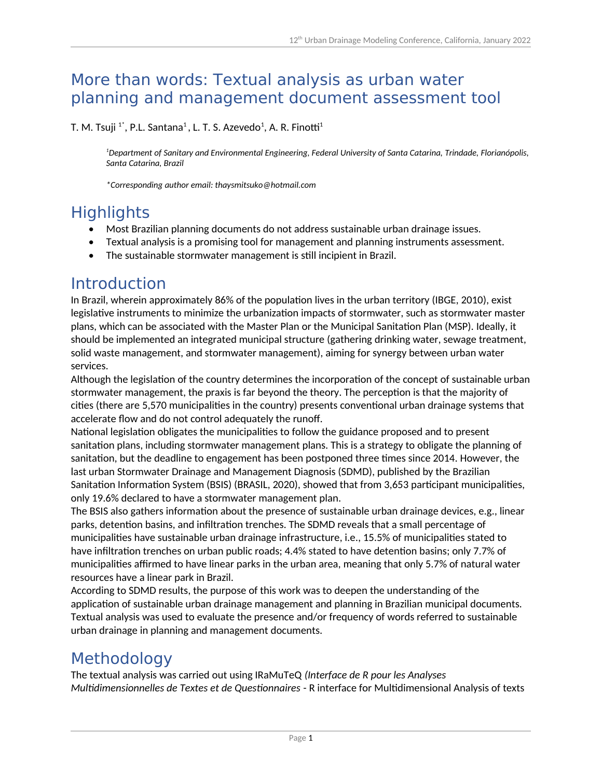### More than words: Textual analysis as urban water planning and management document assessment tool

T. M. Tsuji  $^{1^\ast}$ , P.L. Santana $^1$ , L. T. S. Azevedo $^1$ , A. R. Finotti $^1$ 

*<sup>1</sup>Department of Sanitary and Environmental Engineering, Federal University of Santa Catarina, Trindade, Florianópolis, Santa Catarina, Brazil*

*\*Corresponding author email: thaysmitsuko@hotmail.com*

# **Highlights**

- Most Brazilian planning documents do not address sustainable urban drainage issues.
- Textual analysis is a promising tool for management and planning instruments assessment.
- The sustainable stormwater management is still incipient in Brazil.

#### Introduction

In Brazil, wherein approximately 86% of the population lives in the urban territory (IBGE, 2010), exist legislative instruments to minimize the urbanization impacts of stormwater, such as stormwater master plans, which can be associated with the Master Plan or the Municipal Sanitation Plan (MSP). Ideally, it should be implemented an integrated municipal structure (gathering drinking water, sewage treatment, solid waste management, and stormwater management), aiming for synergy between urban water services.

Although the legislation of the country determines the incorporation of the concept of sustainable urban stormwater management, the praxis is far beyond the theory. The perception is that the majority of cities (there are 5,570 municipalities in the country) presents conventional urban drainage systems that accelerate flow and do not control adequately the runoff.

National legislation obligates the municipalities to follow the guidance proposed and to present sanitation plans, including stormwater management plans. This is a strategy to obligate the planning of sanitation, but the deadline to engagement has been postponed three times since 2014. However, the last urban Stormwater Drainage and Management Diagnosis (SDMD), published by the Brazilian Sanitation Information System (BSIS) (BRASIL, 2020), showed that from 3,653 participant municipalities, only 19.6% declared to have a stormwater management plan.

The BSIS also gathers information about the presence of sustainable urban drainage devices, e.g., linear parks, detention basins, and infiltration trenches. The SDMD reveals that a small percentage of municipalities have sustainable urban drainage infrastructure, i.e., 15.5% of municipalities stated to have infiltration trenches on urban public roads; 4.4% stated to have detention basins; only 7.7% of municipalities affirmed to have linear parks in the urban area, meaning that only 5.7% of natural water resources have a linear park in Brazil.

According to SDMD results, the purpose of this work was to deepen the understanding of the application of sustainable urban drainage management and planning in Brazilian municipal documents. Textual analysis was used to evaluate the presence and/or frequency of words referred to sustainable urban drainage in planning and management documents.

# Methodology

The textual analysis was carried out using IRaMuTeQ *(Interface de R pour les Analyses Multidimensionnelles de Textes et de Questionnaires* - R interface for Multidimensional Analysis of texts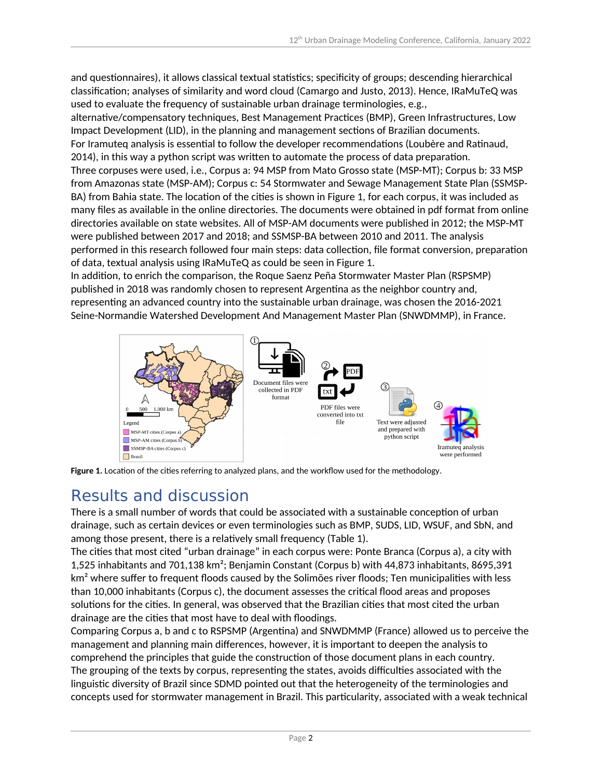and questionnaires), it allows classical textual statistics; specificity of groups; descending hierarchical classification; analyses of similarity and word cloud (Camargo and Justo, 2013). Hence, IRaMuTeQ was used to evaluate the frequency of sustainable urban drainage terminologies, e.g.,

alternative/compensatory techniques, Best Management Practices (BMP), Green Infrastructures, Low Impact Development (LID), in the planning and management sections of Brazilian documents. For Iramuteq analysis is essential to follow the developer recommendations (Loubère and Ratinaud, 2014), in this way a python script was written to automate the process of data preparation. Three corpuses were used, i.e., Corpus a: 94 MSP from Mato Grosso state (MSP-MT); Corpus b: 33 MSP from Amazonas state (MSP-AM); Corpus c: 54 Stormwater and Sewage Management State Plan (SSMSP-BA) from Bahia state. The location of the cities is shown in Figure 1, for each corpus, it was included as many files as available in the online directories. The documents were obtained in pdf format from online directories available on state websites. All of MSP-AM documents were published in 2012; the MSP-MT were published between 2017 and 2018; and SSMSP-BA between 2010 and 2011. The analysis performed in this research followed four main steps: data collection, file format conversion, preparation of data, textual analysis using IRaMuTeQ as could be seen in Figure 1.

In addition, to enrich the comparison, the Roque Saenz Peña Stormwater Master Plan (RSPSMP) published in 2018 was randomly chosen to represent Argentina as the neighbor country and, representing an advanced country into the sustainable urban drainage, was chosen the 2016-2021 Seine-Normandie Watershed Development And Management Master Plan (SNWDMMP), in France.





# Results and discussion

There is a small number of words that could be associated with a sustainable conception of urban drainage, such as certain devices or even terminologies such as BMP, SUDS, LID, WSUF, and SbN, and among those present, there is a relatively small frequency (Table 1).

The cities that most cited "urban drainage" in each corpus were: Ponte Branca (Corpus a), a city with 1,525 inhabitants and 701,138 km²; Benjamin Constant (Corpus b) with 44,873 inhabitants, 8695,391 km<sup>2</sup> where suffer to frequent floods caused by the Solimões river floods; Ten municipalities with less than 10,000 inhabitants (Corpus c), the document assesses the critical flood areas and proposes solutions for the cities. In general, was observed that the Brazilian cities that most cited the urban drainage are the cities that most have to deal with floodings.

Comparing Corpus a, b and c to RSPSMP (Argentina) and SNWDMMP (France) allowed us to perceive the management and planning main differences, however, it is important to deepen the analysis to comprehend the principles that guide the construction of those document plans in each country. The grouping of the texts by corpus, representing the states, avoids difficulties associated with the linguistic diversity of Brazil since SDMD pointed out that the heterogeneity of the terminologies and concepts used for stormwater management in Brazil. This particularity, associated with a weak technical